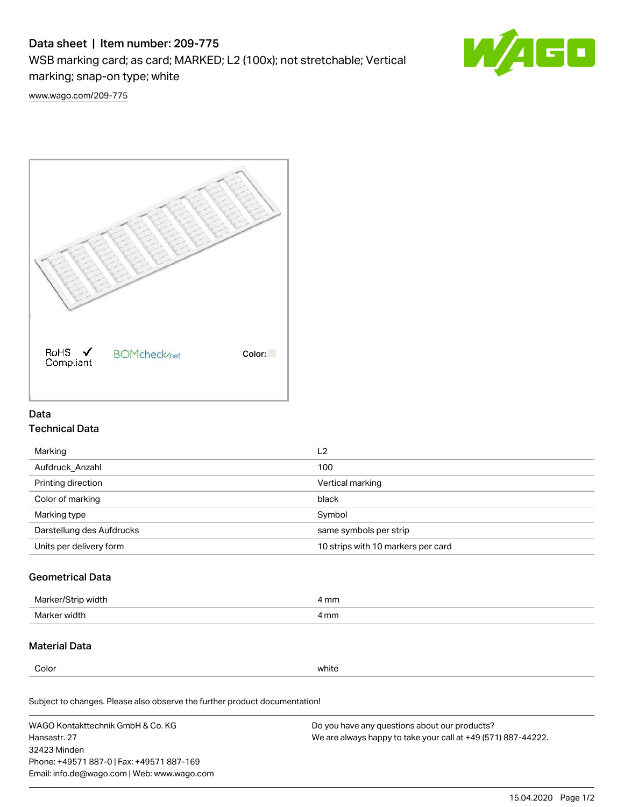# Data sheet | Item number: 209-775

WSB marking card; as card; MARKED; L2 (100x); not stretchable; Vertical

marking; snap-on type; white



[www.wago.com/209-775](http://www.wago.com/209-775)



## Data Technical Data

| Marking                   | L <sub>2</sub>                     |
|---------------------------|------------------------------------|
| Aufdruck Anzahl           | 100                                |
| Printing direction        | Vertical marking                   |
| Color of marking          | black                              |
| Marking type              | Symbol                             |
| Darstellung des Aufdrucks | same symbols per strip             |
| Units per delivery form   | 10 strips with 10 markers per card |

## Geometrical Data

| Marker<br>∘width. | l mm |
|-------------------|------|
| Marker width      | 4 mm |

### Material Data

Color white

Subject to changes. Please also observe the further product documentation!

WAGO Kontakttechnik GmbH & Co. KG Hansastr. 27 32423 Minden Phone: +49571 887-0 | Fax: +49571 887-169 Email: info.de@wago.com | Web: www.wago.com Do you have any questions about our products? We are always happy to take your call at +49 (571) 887-44222.